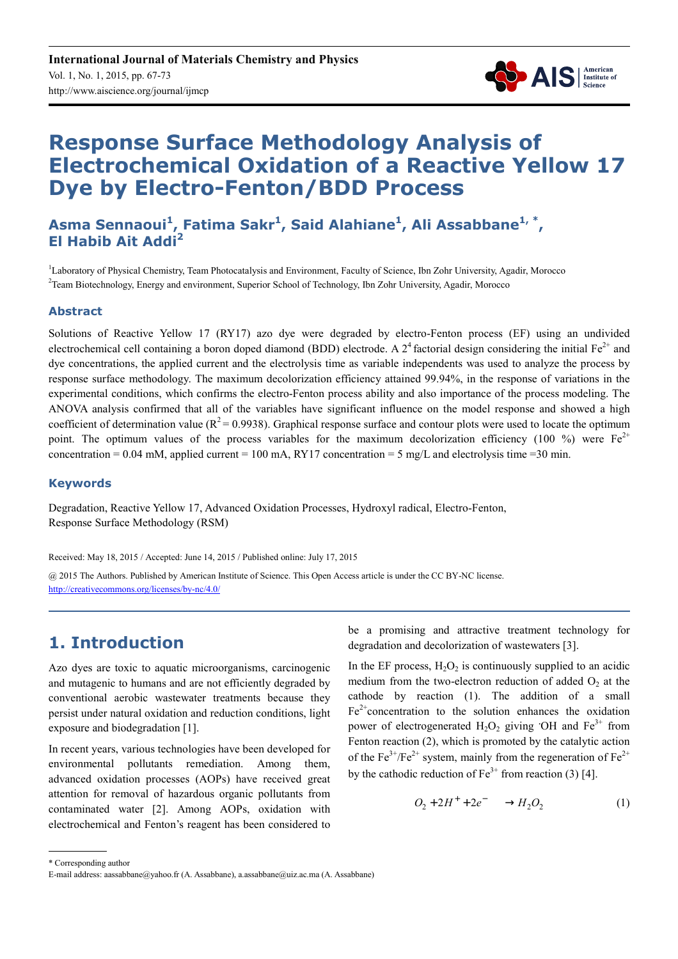

# **Response Surface Methodology Analysis of Electrochemical Oxidation of a Reactive Yellow 17 Dye by Electro-Fenton/BDD Process**

**Asma Sennaoui<sup>1</sup> , Fatima Sakr<sup>1</sup> , Said Alahiane<sup>1</sup> , Ali Assabbane1, \* , El Habib Ait Addi<sup>2</sup>**

<sup>1</sup>Laboratory of Physical Chemistry, Team Photocatalysis and Environment, Faculty of Science, Ibn Zohr University, Agadir, Morocco 2 Team Biotechnology, Energy and environment, Superior School of Technology, Ibn Zohr University, Agadir, Morocco

#### **Abstract**

Solutions of Reactive Yellow 17 (RY17) azo dye were degraded by electro-Fenton process (EF) using an undivided electrochemical cell containing a boron doped diamond (BDD) electrode. A  $2^4$  factorial design considering the initial Fe<sup>2+</sup> and dye concentrations, the applied current and the electrolysis time as variable independents was used to analyze the process by response surface methodology. The maximum decolorization efficiency attained 99.94%, in the response of variations in the experimental conditions, which confirms the electro-Fenton process ability and also importance of the process modeling. The ANOVA analysis confirmed that all of the variables have significant influence on the model response and showed a high coefficient of determination value ( $R^2$  = 0.9938). Graphical response surface and contour plots were used to locate the optimum point. The optimum values of the process variables for the maximum decolorization efficiency (100 %) were  $Fe^{2+}$ concentration =  $0.04$  mM, applied current =  $100$  mA, RY17 concentration =  $5$  mg/L and electrolysis time =  $30$  min.

### **Keywords**

Degradation, Reactive Yellow 17, Advanced Oxidation Processes, Hydroxyl radical, Electro-Fenton, Response Surface Methodology (RSM)

Received: May 18, 2015 / Accepted: June 14, 2015 / Published online: July 17, 2015

@ 2015 The Authors. Published by American Institute of Science. This Open Access article is under the CC BY-NC license. http://creativecommons.org/licenses/by-nc/4.0/

# **1. Introduction**

Azo dyes are toxic to aquatic microorganisms, carcinogenic and mutagenic to humans and are not efficiently degraded by conventional aerobic wastewater treatments because they persist under natural oxidation and reduction conditions, light exposure and biodegradation [1].

In recent years, various technologies have been developed for environmental pollutants remediation. Among them, advanced oxidation processes (AOPs) have received great attention for removal of hazardous organic pollutants from contaminated water [2]. Among AOPs, oxidation with electrochemical and Fenton's reagent has been considered to be a promising and attractive treatment technology for degradation and decolorization of wastewaters [3].

In the EF process,  $H_2O_2$  is continuously supplied to an acidic medium from the two-electron reduction of added  $O<sub>2</sub>$  at the cathode by reaction (1). The addition of a small  $Fe<sup>2+</sup> concentration$  to the solution enhances the oxidation power of electrogenerated  $H_2O_2$  giving  $\cdot$ OH and Fe<sup>3+</sup> from Fenton reaction (2), which is promoted by the catalytic action of the Fe<sup>3+</sup>/Fe<sup>2+</sup> system, mainly from the regeneration of Fe<sup>2+</sup> by the cathodic reduction of  $Fe<sup>3+</sup>$  from reaction (3) [4].

$$
O_2 + 2H^+ + 2e^- \longrightarrow H_2O_2 \tag{1}
$$

<sup>\*</sup> Corresponding author

E-mail address: aassabbane@yahoo.fr (A. Assabbane), a.assabbane@uiz.ac.ma (A. Assabbane)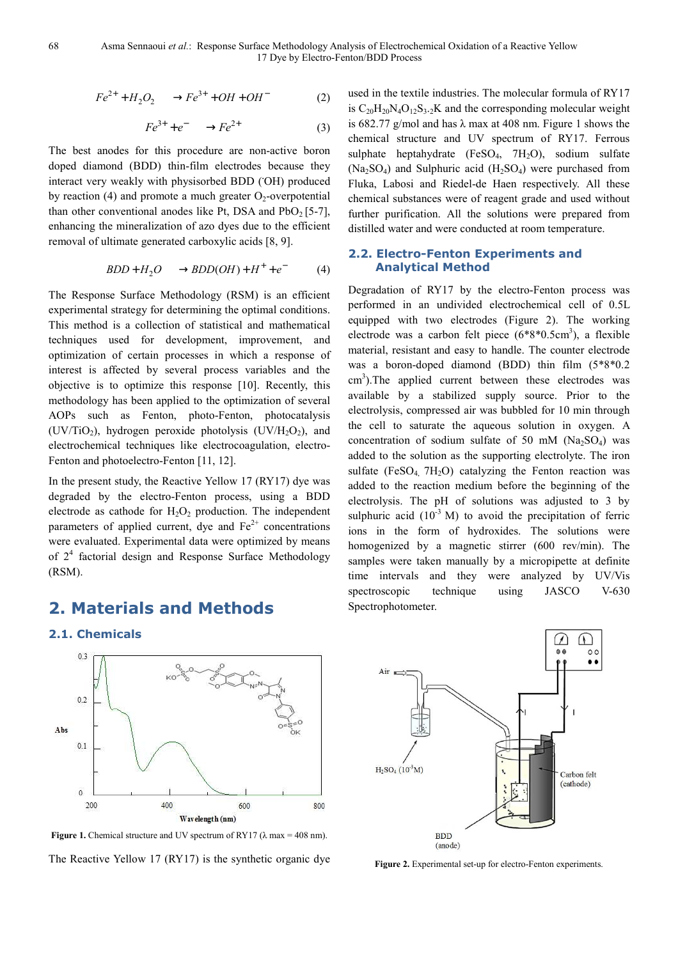$$
Fe^{2+} + H_2O_2 \longrightarrow Fe^{3+} + OH + OH^-
$$
 (2)

$$
Fe^{3+} + e^- \longrightarrow Fe^{2+} \tag{3}
$$

The best anodes for this procedure are non-active boron doped diamond (BDD) thin-film electrodes because they interact very weakly with physisorbed BDD (**.**OH) produced by reaction (4) and promote a much greater  $O_2$ -overpotential than other conventional anodes like Pt, DSA and  $PbO<sub>2</sub>$  [5-7], enhancing the mineralization of azo dyes due to the efficient removal of ultimate generated carboxylic acids [8, 9].

$$
BDD + H_2O \longrightarrow BDD(OH) + H^+ + e^- \tag{4}
$$

The Response Surface Methodology (RSM) is an efficient experimental strategy for determining the optimal conditions. This method is a collection of statistical and mathematical techniques used for development, improvement, and optimization of certain processes in which a response of interest is affected by several process variables and the objective is to optimize this response [10]. Recently, this methodology has been applied to the optimization of several AOPs such as Fenton, photo-Fenton, photocatalysis (UV/TiO<sub>2</sub>), hydrogen peroxide photolysis (UV/H<sub>2</sub>O<sub>2</sub>), and electrochemical techniques like electrocoagulation, electro-Fenton and photoelectro-Fenton [11, 12].

In the present study, the Reactive Yellow 17 (RY17) dye was degraded by the electro-Fenton process, using a BDD electrode as cathode for  $H_2O_2$  production. The independent parameters of applied current, dye and  $Fe<sup>2+</sup>$  concentrations were evaluated. Experimental data were optimized by means of  $2<sup>4</sup>$  factorial design and Response Surface Methodology (RSM).

### **2. Materials and Methods**

**2.1. Chemicals** 

 $0.3$ 

 $0.2$ 

 $0.1$ 

 $\ddot{\text{o}}$ 200

Abs

used in the textile industries. The molecular formula of RY17 is  $C_{20}H_{20}N_4O_{12}S_{3.2}K$  and the corresponding molecular weight is 682.77 g/mol and has  $\lambda$  max at 408 nm. Figure 1 shows the chemical structure and UV spectrum of RY17. Ferrous sulphate heptahydrate (FeSO<sub>4</sub>, 7H<sub>2</sub>O), sodium sulfate  $(Na<sub>2</sub>SO<sub>4</sub>)$  and Sulphuric acid  $(H<sub>2</sub>SO<sub>4</sub>)$  were purchased from Fluka, Labosi and Riedel-de Haen respectively. All these chemical substances were of reagent grade and used without further purification. All the solutions were prepared from distilled water and were conducted at room temperature.

### **2.2. Electro-Fenton Experiments and Analytical Method**

Degradation of RY17 by the electro-Fenton process was performed in an undivided electrochemical cell of 0.5L equipped with two electrodes (Figure 2). The working electrode was a carbon felt piece  $(6*8*0.5cm<sup>3</sup>)$ , a flexible material, resistant and easy to handle. The counter electrode was a boron-doped diamond (BDD) thin film (5\*8\*0.2 cm<sup>3</sup>). The applied current between these electrodes was available by a stabilized supply source. Prior to the electrolysis, compressed air was bubbled for 10 min through the cell to saturate the aqueous solution in oxygen. A concentration of sodium sulfate of 50 mM ( $Na<sub>2</sub>SO<sub>4</sub>$ ) was added to the solution as the supporting electrolyte. The iron sulfate (FeSO<sub>4, 7H<sub>2</sub>O) catalyzing the Fenton reaction was</sub> added to the reaction medium before the beginning of the electrolysis. The pH of solutions was adjusted to 3 by sulphuric acid  $(10^{-3}$  M) to avoid the precipitation of ferric ions in the form of hydroxides. The solutions were homogenized by a magnetic stirrer (600 rev/min). The samples were taken manually by a micropipette at definite time intervals and they were analyzed by UV/Vis spectroscopic technique using JASCO V-630 Spectrophotometer.



**Figure 1.** Chemical structure and UV spectrum of RY17 ( $\lambda$  max = 408 nm). The Reactive Yellow 17 (RY17) is the synthetic organic dye

Wavelength (nm)

600

800

400

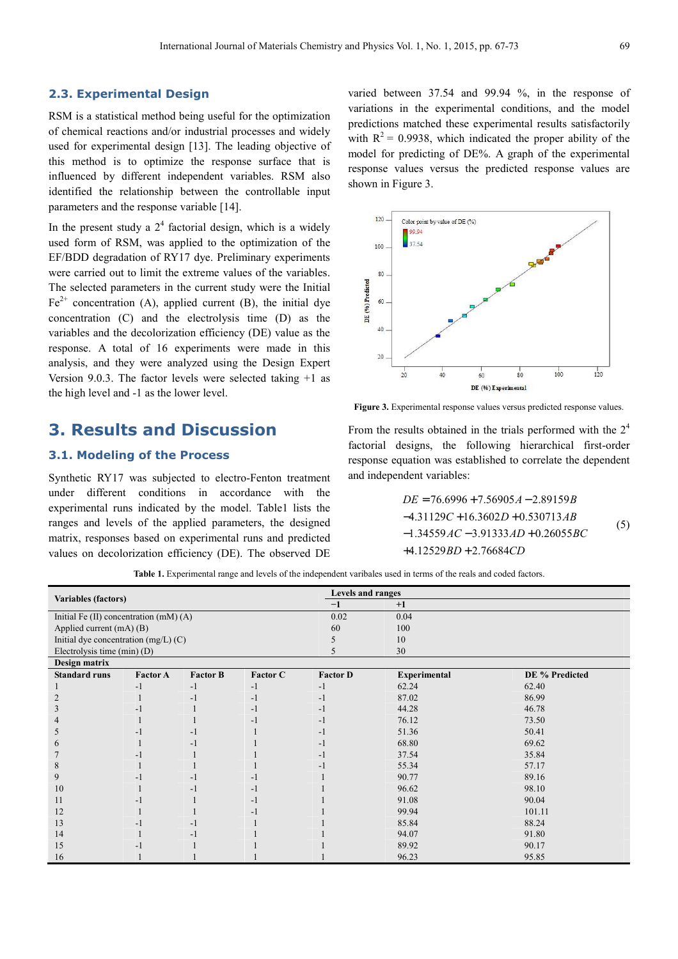RSM is a statistical method being useful for the optimization of chemical reactions and/or industrial processes and widely used for experimental design [13]. The leading objective of this method is to optimize the response surface that is influenced by different independent variables. RSM also identified the relationship between the controllable input parameters and the response variable [14].

In the present study a  $2<sup>4</sup>$  factorial design, which is a widely used form of RSM, was applied to the optimization of the EF/BDD degradation of RY17 dye. Preliminary experiments were carried out to limit the extreme values of the variables. The selected parameters in the current study were the Initial  $Fe<sup>2+</sup>$  concentration (A), applied current (B), the initial dye concentration (C) and the electrolysis time (D) as the variables and the decolorization efficiency (DE) value as the response. A total of 16 experiments were made in this analysis, and they were analyzed using the Design Expert Version 9.0.3. The factor levels were selected taking +1 as the high level and -1 as the lower level.

### **3. Results and Discussion**

### **3.1. Modeling of the Process**

Synthetic RY17 was subjected to electro-Fenton treatment under different conditions in accordance with the experimental runs indicated by the model. Table1 lists the ranges and levels of the applied parameters, the designed matrix, responses based on experimental runs and predicted values on decolorization efficiency (DE). The observed DE

varied between 37.54 and 99.94 %, in the response of variations in the experimental conditions, and the model predictions matched these experimental results satisfactorily with  $R^2 = 0.9938$ , which indicated the proper ability of the model for predicting of DE%. A graph of the experimental response values versus the predicted response values are shown in Figure 3.



**Figure 3.** Experimental response values versus predicted response values.

From the results obtained in the trials performed with the  $2<sup>4</sup>$ factorial designs, the following hierarchical first-order response equation was established to correlate the dependent and independent variables:

$$
DE = 76.6996 + 7.56905A - 2.89159B
$$
  
-4.31129C + 16.3602D + 0.530713AB  
-1.34559AC - 3.91333AD + 0.26055BC  
+4.12529BD + 2.76684CD (5)

**Table 1.** Experimental range and levels of the independent varibales used in terms of the reals and coded factors.

| <b>Variables (factors)</b>                |                 |                 |                 | Levels and ranges |                     |                |  |
|-------------------------------------------|-----------------|-----------------|-----------------|-------------------|---------------------|----------------|--|
|                                           |                 |                 |                 | $-1$              | $+1$                |                |  |
| Initial Fe $(II)$ concentration $(mM)(A)$ |                 |                 |                 | 0.02              | 0.04                |                |  |
| Applied current $(mA)$ (B)                |                 |                 |                 | 60                | 100                 |                |  |
| Initial dye concentration $(mg/L)$ (C)    |                 |                 |                 |                   | 10                  |                |  |
| Electrolysis time (min) (D)               |                 |                 |                 |                   | 30                  |                |  |
| Design matrix                             |                 |                 |                 |                   |                     |                |  |
| <b>Standard runs</b>                      | <b>Factor A</b> | <b>Factor B</b> | <b>Factor C</b> | <b>Factor D</b>   | <b>Experimental</b> | DE % Predicted |  |
|                                           | $-1$            | $-1$            | $-1$            | -1                | 62.24               | 62.40          |  |
|                                           |                 | $-1$            | $-1$            | -1                | 87.02               | 86.99          |  |
|                                           |                 |                 | -1              | -1                | 44.28               | 46.78          |  |
|                                           |                 |                 | -1              | -1                | 76.12               | 73.50          |  |
| C.                                        | - 1             | $-1$            |                 | -1                | 51.36               | 50.41          |  |
| n.                                        |                 | $-1$            |                 | -1                | 68.80               | 69.62          |  |
|                                           | -1              |                 |                 | -1                | 37.54               | 35.84          |  |
| 8                                         |                 |                 |                 | - 1               | 55.34               | 57.17          |  |
| 9                                         | -1              | $-1$            | - 1             |                   | 90.77               | 89.16          |  |
| 10                                        |                 | $-1$            | - 1             |                   | 96.62               | 98.10          |  |
| 11                                        | - 1             |                 | -1              |                   | 91.08               | 90.04          |  |
| 12                                        |                 |                 | - 1             |                   | 99.94               | 101.11         |  |
| 13                                        | -1              | $-1$            |                 |                   | 85.84               | 88.24          |  |
| 14                                        |                 | $-1$            |                 |                   | 94.07               | 91.80          |  |
| 15                                        | -1              |                 |                 |                   | 89.92               | 90.17          |  |
| 16                                        |                 |                 |                 |                   | 96.23               | 95.85          |  |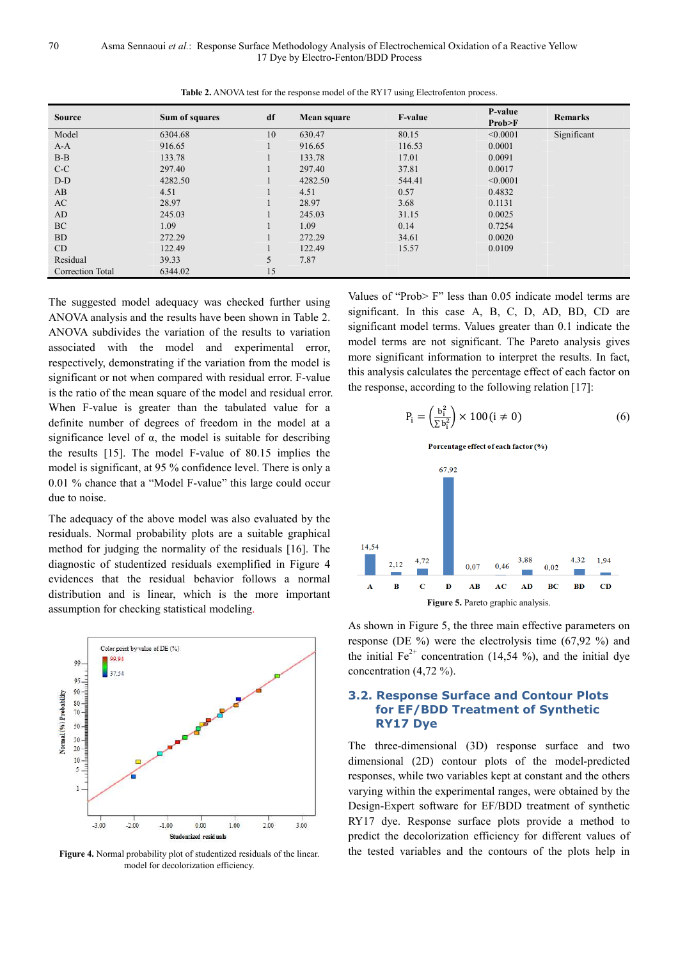| <b>Source</b>    | Sum of squares | df | Mean square | <b>F-value</b> | P-value<br>Prob>F | <b>Remarks</b> |
|------------------|----------------|----|-------------|----------------|-------------------|----------------|
| Model            | 6304.68        | 10 | 630.47      | 80.15          | < 0.0001          | Significant    |
| $A-A$            | 916.65         |    | 916.65      | 116.53         | 0.0001            |                |
| $B-B$            | 133.78         |    | 133.78      | 17.01          | 0.0091            |                |
| $C-C$            | 297.40         |    | 297.40      | 37.81          | 0.0017            |                |
| $D-D$            | 4282.50        |    | 4282.50     | 544.41         | < 0.0001          |                |
| AB               | 4.51           |    | 4.51        | 0.57           | 0.4832            |                |
| AC               | 28.97          |    | 28.97       | 3.68           | 0.1131            |                |
| AD               | 245.03         |    | 245.03      | 31.15          | 0.0025            |                |
| <b>BC</b>        | 1.09           |    | 1.09        | 0.14           | 0.7254            |                |
| <b>BD</b>        | 272.29         |    | 272.29      | 34.61          | 0.0020            |                |
| CD               | 122.49         |    | 122.49      | 15.57          | 0.0109            |                |
| Residual         | 39.33          | 5  | 7.87        |                |                   |                |
| Correction Total | 6344.02        | 15 |             |                |                   |                |

**Table 2.** ANOVA test for the response model of the RY17 using Electrofenton process.

The suggested model adequacy was checked further using ANOVA analysis and the results have been shown in Table 2. ANOVA subdivides the variation of the results to variation associated with the model and experimental error, respectively, demonstrating if the variation from the model is significant or not when compared with residual error. F-value is the ratio of the mean square of the model and residual error. When F-value is greater than the tabulated value for a definite number of degrees of freedom in the model at a significance level of  $\alpha$ , the model is suitable for describing the results [15]. The model F-value of 80.15 implies the model is significant, at 95 % confidence level. There is only a 0.01 % chance that a "Model F-value" this large could occur due to noise.

The adequacy of the above model was also evaluated by the residuals. Normal probability plots are a suitable graphical method for judging the normality of the residuals [16]. The diagnostic of studentized residuals exemplified in Figure 4 evidences that the residual behavior follows a normal distribution and is linear, which is the more important assumption for checking statistical modeling.



**Figure 4.** Normal probability plot of studentized residuals of the linear. model for decolorization efficiency.

Values of "Prob> F" less than 0.05 indicate model terms are significant. In this case A, B, C, D, AD, BD, CD are significant model terms. Values greater than 0.1 indicate the model terms are not significant. The Pareto analysis gives more significant information to interpret the results. In fact, this analysis calculates the percentage effect of each factor on the response, according to the following relation [17]:

$$
P_i = \left(\frac{b_i^2}{\Sigma b_i^2}\right) \times 100(i \neq 0) \tag{6}
$$

Porcentage effect of each factor (%)



As shown in Figure 5, the three main effective parameters on response (DE %) were the electrolysis time (67,92 %) and the initial  $Fe^{2+}$  concentration (14,54 %), and the initial dye concentration (4,72 %).

#### **3.2. Response Surface and Contour Plots for EF/BDD Treatment of Synthetic RY17 Dye**

The three-dimensional (3D) response surface and two dimensional (2D) contour plots of the model-predicted responses, while two variables kept at constant and the others varying within the experimental ranges, were obtained by the Design-Expert software for EF/BDD treatment of synthetic RY17 dye. Response surface plots provide a method to predict the decolorization efficiency for different values of the tested variables and the contours of the plots help in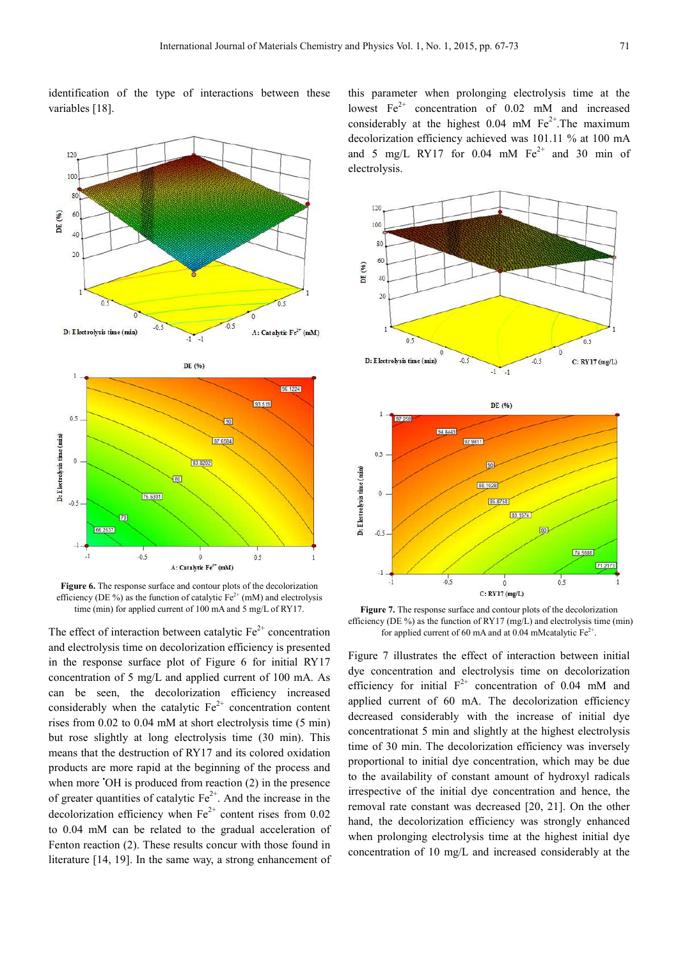identification of the type of interactions between these variables [18].



**Figure 6.** The response surface and contour plots of the decolorization efficiency (DE %) as the function of catalytic  $Fe^{2+}$  (mM) and electrolysis time (min) for applied current of 100 mA and 5 mg/L of RY17.

The effect of interaction between catalytic  $Fe<sup>2+</sup>$  concentration and electrolysis time on decolorization efficiency is presented in the response surface plot of Figure 6 for initial RY17 concentration of 5 mg/L and applied current of 100 mA. As can be seen, the decolorization efficiency increased considerably when the catalytic  $Fe^{2+}$  concentration content rises from 0.02 to 0.04 mM at short electrolysis time (5 min) but rose slightly at long electrolysis time (30 min). This means that the destruction of RY17 and its colored oxidation products are more rapid at the beginning of the process and when more  $\overline{O}$ H is produced from reaction (2) in the presence of greater quantities of catalytic  $Fe<sup>2+</sup>$ . And the increase in the decolorization efficiency when  $Fe^{2+}$  content rises from 0.02 to 0.04 mM can be related to the gradual acceleration of Fenton reaction (2). These results concur with those found in literature [14, 19]. In the same way, a strong enhancement of

this parameter when prolonging electrolysis time at the lowest  $Fe^{2+}$  concentration of 0.02 mM and increased considerably at the highest  $0.04$  mM  $Fe^{2+}$ . The maximum decolorization efficiency achieved was 101.11 % at 100 mA and 5 mg/L RY17 for  $0.04$  mM  $Fe^{2+}$  and 30 min of electrolysis.



**Figure 7.** The response surface and contour plots of the decolorization efficiency (DE %) as the function of RY17 (mg/L) and electrolysis time (min) for applied current of 60 mA and at 0.04 mMcatalytic  $Fe^{2+}$ .

Figure 7 illustrates the effect of interaction between initial dye concentration and electrolysis time on decolorization efficiency for initial  $F^{2+}$  concentration of 0.04 mM and applied current of 60 mA. The decolorization efficiency decreased considerably with the increase of initial dye concentrationat 5 min and slightly at the highest electrolysis time of 30 min. The decolorization efficiency was inversely proportional to initial dye concentration, which may be due to the availability of constant amount of hydroxyl radicals irrespective of the initial dye concentration and hence, the removal rate constant was decreased [20, 21]. On the other hand, the decolorization efficiency was strongly enhanced when prolonging electrolysis time at the highest initial dye concentration of 10 mg/L and increased considerably at the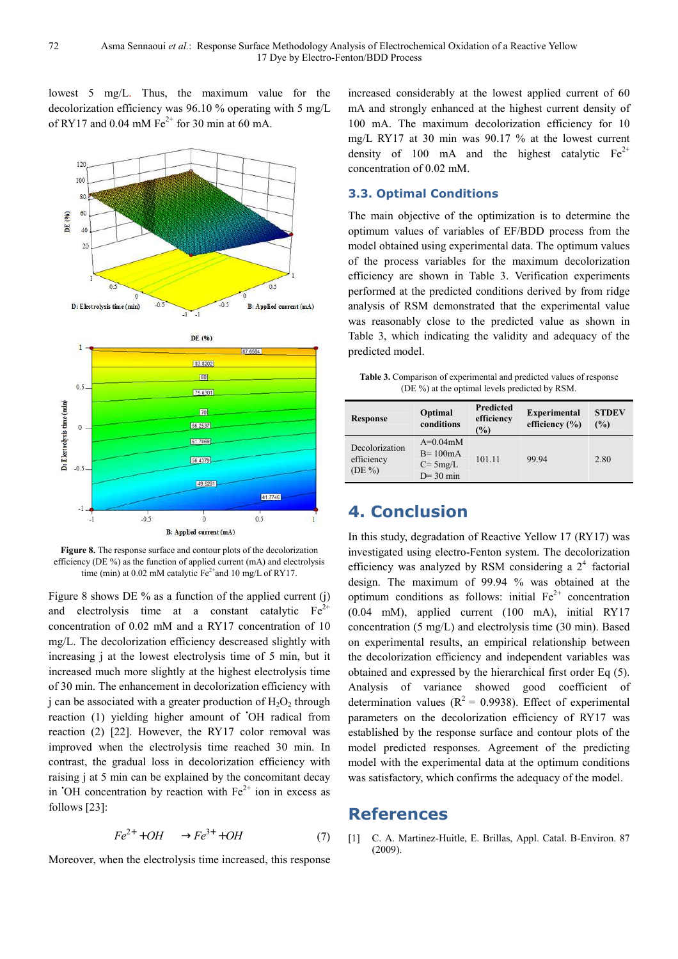lowest 5 mg/L. Thus, the maximum value for the decolorization efficiency was 96.10 % operating with 5 mg/L of RY17 and 0.04 mM  $Fe^{2+}$  for 30 min at 60 mA.



**Figure 8.** The response surface and contour plots of the decolorization efficiency (DE %) as the function of applied current (mA) and electrolysis time (min) at 0.02 mM catalytic  $Fe^{2+}$ and 10 mg/L of RY17.

Figure 8 shows DE % as a function of the applied current (j) and electrolysis time at a constant catalytic  $Fe<sup>2+</sup>$ concentration of 0.02 mM and a RY17 concentration of 10 mg/L. The decolorization efficiency descreased slightly with increasing j at the lowest electrolysis time of 5 min, but it increased much more slightly at the highest electrolysis time of 30 min. The enhancement in decolorization efficiency with j can be associated with a greater production of  $H_2O_2$  through reaction (1) yielding higher amount of 'OH radical from reaction (2) [22]. However, the RY17 color removal was improved when the electrolysis time reached 30 min. In contrast, the gradual loss in decolorization efficiency with raising j at 5 min can be explained by the concomitant decay in  $\overline{O}$ H concentration by reaction with  $Fe^{2+}$  ion in excess as follows [23]:

$$
Fe^{2+} + OH \longrightarrow Fe^{3+} + OH \tag{7}
$$

Moreover, when the electrolysis time increased, this response

increased considerably at the lowest applied current of 60 mA and strongly enhanced at the highest current density of 100 mA. The maximum decolorization efficiency for 10 mg/L RY17 at 30 min was 90.17 % at the lowest current density of 100 mA and the highest catalytic  $Fe^{2+}$ concentration of 0.02 mM.

### **3.3. Optimal Conditions**

17 Dye by Electro-Fenton/BDD Process

The main objective of the optimization is to determine the optimum values of variables of EF/BDD process from the model obtained using experimental data. The optimum values of the process variables for the maximum decolorization efficiency are shown in Table 3. Verification experiments performed at the predicted conditions derived by from ridge analysis of RSM demonstrated that the experimental value was reasonably close to the predicted value as shown in Table 3, which indicating the validity and adequacy of the predicted model.

**Table 3.** Comparison of experimental and predicted values of response (DE %) at the optimal levels predicted by RSM.

| <b>Response</b>                          | Optimal<br>conditions                                        | <b>Predicted</b><br>efficiency<br>$\frac{9}{0}$ | <b>Experimental</b><br>efficiency $(\% )$ | <b>STDEV</b><br>(%) |
|------------------------------------------|--------------------------------------------------------------|-------------------------------------------------|-------------------------------------------|---------------------|
| Decolorization<br>efficiency<br>$(DE\%)$ | $A=0.04$ m $M$<br>$B = 100mA$<br>$C = 5mg/L$<br>$D = 30$ min | 101.11                                          | 99.94                                     | 2.80                |

# **4. Conclusion**

In this study, degradation of Reactive Yellow 17 (RY17) was investigated using electro-Fenton system. The decolorization efficiency was analyzed by RSM considering a  $2<sup>4</sup>$  factorial design. The maximum of 99.94 % was obtained at the optimum conditions as follows: initial  $Fe<sup>2+</sup>$  concentration (0.04 mM), applied current (100 mA), initial RY17 concentration (5 mg/L) and electrolysis time (30 min). Based on experimental results, an empirical relationship between the decolorization efficiency and independent variables was obtained and expressed by the hierarchical first order Eq (5). Analysis of variance showed good coefficient of determination values ( $R^2 = 0.9938$ ). Effect of experimental parameters on the decolorization efficiency of RY17 was established by the response surface and contour plots of the model predicted responses. Agreement of the predicting model with the experimental data at the optimum conditions was satisfactory, which confirms the adequacy of the model.

### **References**

[1] C. A. Martinez-Huitle, E. Brillas, Appl. Catal. B-Environ. 87 (2009).